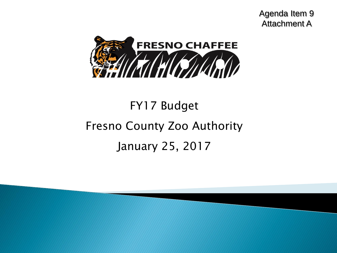Agenda Item 9 Attachment A



# FY17 Budget Fresno County Zoo Authority January 25, 2017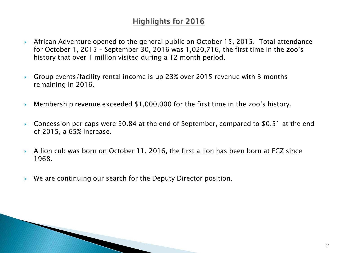# **Highlights for 2016**

- African Adventure opened to the general public on October 15, 2015. Total attendance for October 1, 2015 – September 30, 2016 was 1,020,716, the first time in the zoo's history that over 1 million visited during a 12 month period.
- Group events/facility rental income is up 23% over 2015 revenue with 3 months remaining in 2016.
- Membership revenue exceeded \$1,000,000 for the first time in the zoo's history.
- ▶ Concession per caps were \$0.84 at the end of September, compared to \$0.51 at the end of 2015, a 65% increase.
- A lion cub was born on October 11, 2016, the first a lion has been born at FCZ since 1968.
- We are continuing our search for the Deputy Director position.

**The Company**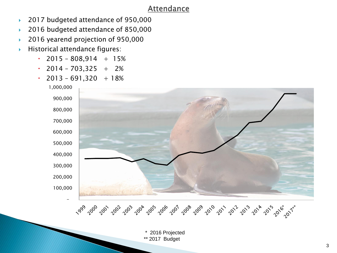### **Attendance**

- ▶ 2017 budgeted attendance of 950,000
- 2016 budgeted attendance of 850,000
- 2016 yearend projection of 950,000
- Historical attendance figures:
	- $\cdot$  2015 808,914 + 15%
	- $\cdot$  2014 703,325 + 2%
	- $\cdot$  2013 691,320 + 18%

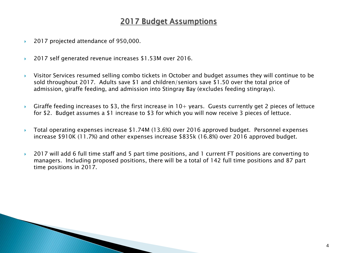# **2017 Budget Assumptions**

- ▶ 2017 projected attendance of 950,000.
- ▶ 2017 self generated revenue increases \$1.53M over 2016.
- Visitor Services resumed selling combo tickets in October and budget assumes they will continue to be sold throughout 2017. Adults save \$1 and children/seniors save \$1.50 over the total price of admission, giraffe feeding, and admission into Stingray Bay (excludes feeding stingrays).
- Giraffe feeding increases to \$3, the first increase in  $10+$  years. Guests currently get 2 pieces of lettuce for \$2. Budget assumes a \$1 increase to \$3 for which you will now receive 3 pieces of lettuce.
- Total operating expenses increase \$1.74M (13.6%) over 2016 approved budget. Personnel expenses increase \$910K (11.7%) and other expenses increase \$835k (16.8%) over 2016 approved budget.
- ▶ 2017 will add 6 full time staff and 5 part time positions, and 1 current FT positions are converting to managers. Including proposed positions, there will be a total of 142 full time positions and 87 part time positions in 2017.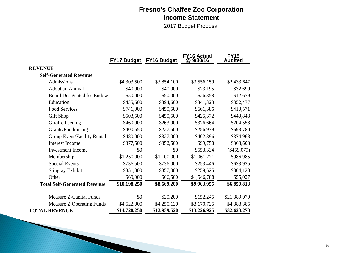### **Fresno's Chaffee Zoo Corporation Income Statement**

2017 Budget Proposal

|                                     | <b>FY17 Budget</b> | <b>FY16 Budget</b> | <b>FY16 Actual</b><br>@9/30/16 | <b>FY15</b><br><b>Audited</b> |
|-------------------------------------|--------------------|--------------------|--------------------------------|-------------------------------|
| <b>REVENUE</b>                      |                    |                    |                                |                               |
| <b>Self-Generated Revenue</b>       |                    |                    |                                |                               |
| Admissions                          | \$4,303,500        | \$3,854,100        | \$3,556,159                    | \$2,433,647                   |
| Adopt an Animal                     | \$40,000           | \$40,000           | \$23,195                       | \$32,690                      |
| <b>Board Designated for Endow</b>   | \$50,000           | \$50,000           | \$26,358                       | \$12,679                      |
| Education                           | \$435,600          | \$394,600          | \$341,323                      | \$352,477                     |
| Food Services                       | \$741,000          | \$450,500          | \$661,386                      | \$410,571                     |
| Gift Shop                           | \$503,500          | \$450,500          | \$425,372                      | \$440,843                     |
| Giraffe Feeding                     | \$460,000          | \$263,000          | \$376,664                      | \$204,558                     |
| Grants/Fundraising                  | \$400,650          | \$227,500          | \$256,979                      | \$698,780                     |
| Group Event/Facility Rental         | \$480,000          | \$327,000          | \$462,396                      | \$374,968                     |
| <b>Interest Income</b>              | \$377,500          | \$352,500          | \$99,758                       | \$368,603                     |
| <b>Investment Income</b>            | \$0                | \$0                | \$553,334                      | $(\$459,079)$                 |
| Membership                          | \$1,250,000        | \$1,100,000        | \$1,061,271                    | \$986,985                     |
| <b>Special Events</b>               | \$736,500          | \$736,000          | \$253,446                      | \$633,935                     |
| <b>Stingray Exhibit</b>             | \$351,000          | \$357,000          | \$259,525                      | \$304,128                     |
| Other                               | \$69,000           | \$66,500           | \$1,546,788                    | \$55,027                      |
| <b>Total Self-Generated Revenue</b> | \$10,198,250       | \$8,669,200        | \$9,903,955                    | \$6,850,813                   |
| Measure Z-Capital Funds             | \$0                | \$20,200           | \$152,245                      | \$21,389,079                  |
| Measure Z Operating Funds           | \$4,522,000        | \$4,250,120        | \$3,170,725                    | \$4,383,385                   |
| <b>TOTAL REVENUE</b>                | \$14,720,250       | \$12,939,520       | \$13,226,925                   | \$32,623,278                  |

**The Company** 

**CONTRACTOR**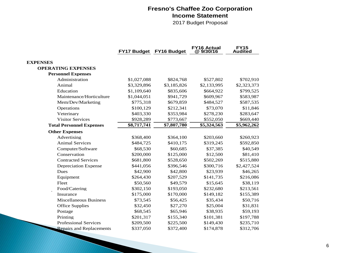#### **Fresno's Chaffee Zoo Corporation Income Statement**

2017 Budget Proposal

|                                 |             | FY17 Budget FY16 Budget | <b>FY16 Actual</b><br>@9/30/16 | <b>FY15</b><br><b>Audited</b> |
|---------------------------------|-------------|-------------------------|--------------------------------|-------------------------------|
| <b>EXPENSES</b>                 |             |                         |                                |                               |
| <b>OPERATING EXPENSES</b>       |             |                         |                                |                               |
| <b>Personnel Expenses</b>       |             |                         |                                |                               |
| Administration                  | \$1,027,088 | \$824,768               | \$527,802                      | \$702,910                     |
| Animal                          | \$3,329,896 | \$3,185,826             | \$2,133,995                    | \$2,323,373                   |
| Education                       | \$1,109,640 | \$835,606               | \$664,922                      | \$799,525                     |
| Maintenance/Horticulture        | \$1,044,051 | \$941,729               | \$609,967                      | \$583,987                     |
| Mem/Dev/Marketing               | \$775,318   | \$679,859               | \$484,527                      | \$587,535                     |
| Operations                      | \$100,129   | \$212,341               | \$73,070                       | \$11,846                      |
| Veterinary                      | \$403,330   | \$353,984               | \$278,230                      | \$283,647                     |
| <b>Visitor Services</b>         | \$928,289   | \$773,667               | \$552,050                      | \$669,440                     |
| <b>Total Personnel Expenses</b> | \$8,717,741 | \$7,807,780             | \$5,324,563                    | \$5,962,262                   |
| <b>Other Expenses</b>           |             |                         |                                |                               |
| Advertising                     | \$368,400   | \$364,100               | \$203,660                      | \$260,923                     |
| <b>Animal Services</b>          | \$484,725   | \$410,175               | \$319,245                      | \$592,850                     |
| Computer/Software               | \$68,530    | \$60,685                | \$37,385                       | \$40,549                      |
| Conservation                    | \$200,000   | \$125,000               | \$12,500                       | \$81,410                      |
| <b>Contracted Services</b>      | \$681,800   | \$528,650               | \$502,269                      | \$515,880                     |
| <b>Depreciation Expense</b>     | \$441,056   | \$396,546               | \$300,716                      | \$2,427,524                   |
| Dues                            | \$42,900    | \$42,800                | \$23,939                       | \$46,265                      |
| Equipment                       | \$264,430   | \$207,529               | \$141,735                      | \$216,086                     |
| Fleet                           | \$50,560    | \$49,579                | \$15,645                       | \$38,119                      |
| Food/Catering                   | \$302,150   | \$193,050               | \$232,680                      | \$213,561                     |
| Insurance                       | \$175,000   | \$170,000               | \$149,182                      | \$155,389                     |
| <b>Miscellaneous Business</b>   | \$73,545    | \$56,425                | \$35,434                       | \$50,716                      |
| <b>Office Supplies</b>          | \$32,450    | \$27,270                | \$25,004                       | \$31,831                      |
| Postage                         | \$68,545    | \$65,946                | \$38,935                       | \$59,193                      |
| Printing                        | \$201,317   | \$155,340               | \$101,381                      | \$197,788                     |
| <b>Professional Services</b>    | \$209,500   | \$225,500               | \$149,430                      | \$235,710                     |
| Repairs and Replacements        | \$337,050   | \$372,400               | \$174,878                      | \$312,706                     |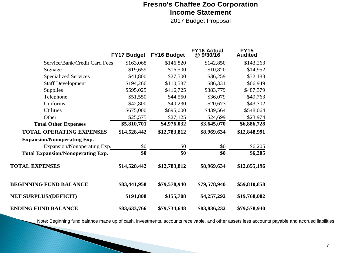### **Fresno's Chaffee Zoo Corporation Income Statement**

2017 Budget Proposal

|                                          | <b>FY17 Budget</b> | FY16 Budget  | <b>FY16 Actual</b><br>@9/30/16 | <b>FY15</b><br><b>Audited</b> |
|------------------------------------------|--------------------|--------------|--------------------------------|-------------------------------|
| Service/Bank/Credit Card Fees            | \$163,068          | \$146,820    | \$142,850                      | \$143,263                     |
| Signage                                  | \$19,659           | \$16,500     | \$10,820                       | \$14,952                      |
| <b>Specialized Services</b>              | \$41,800           | \$27,500     | \$36,259                       | \$32,183                      |
| <b>Staff Development</b>                 | \$194,266          | \$110,587    | \$86,331                       | \$66,949                      |
| Supplies                                 | \$595,025          | \$416,725    | \$383,779                      | \$487,379                     |
| Telephone                                | \$51,550           | \$44,550     | \$36,079                       | \$49,763                      |
| Uniforms                                 | \$42,800           | \$40,230     | \$20,673                       | \$43,702                      |
| <b>Utilities</b>                         | \$675,000          | \$695,000    | \$439,564                      | \$548,064                     |
| Other                                    | \$25,575           | \$27,125     | \$24,699                       | \$23,974                      |
| <b>Total Other Expenses</b>              | \$5,810,701        | \$4,976,032  | \$3,645,070                    | \$6,886,728                   |
| <b>TOTAL OPERATING EXPENSES</b>          | \$14,528,442       | \$12,783,812 | \$8,969,634                    | \$12,848,991                  |
| <b>Expansion/Nonoperating Exp.</b>       |                    |              |                                |                               |
| Expansion/Nonoperating Exp.              | \$0                | \$0          | \$0                            | \$6,205                       |
| <b>Total Expansion/Nonoperating Exp.</b> | \$0                | \$0          | \$0                            | \$6,205                       |
| <b>TOTAL EXPENSES</b>                    | \$14,528,442       | \$12,783,812 | \$8,969,634                    | \$12,855,196                  |
| <b>BEGINNING FUND BALANCE</b>            | \$83,441,958       | \$79,578,940 | \$79,578,940                   | \$59,810,858                  |
| <b>NET SURPLUS/(DEFICIT)</b>             | \$191,808          | \$155,708    | \$4,257,292                    | \$19,768,082                  |
| <b>ENDING FUND BALANCE</b>               | \$83,633,766       | \$79,734,648 | \$83,836,232                   | \$79,578,940                  |

Note: Beginning fund balance made up of cash, investments, accounts receivable, and other assets less accounts payable and accrued liabilities.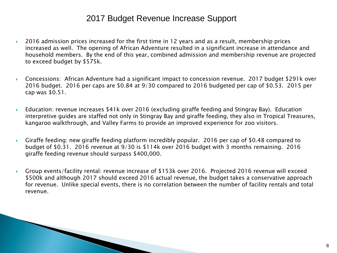# 2017 Budget Revenue Increase Support

- ▶ 2016 admission prices increased for the first time in 12 years and as a result, membership prices increased as well. The opening of African Adventure resulted in a significant increase in attendance and household members. By the end of this year, combined admission and membership revenue are projected to exceed budget by \$575k.
- Concessions: African Adventure had a significant impact to concession revenue. 2017 budget \$291k over 2016 budget. 2016 per caps are \$0.84 at 9/30 compared to 2016 budgeted per cap of \$0.53. 2015 per cap was \$0.51.
- Education: revenue increases \$41k over 2016 (excluding giraffe feeding and Stingray Bay). Education interpretive guides are staffed not only in Stingray Bay and giraffe feeding, they also in Tropical Treasures, kangaroo walkthrough, and Valley Farms to provide an improved experience for zoo visitors.
- Giraffe feeding: new giraffe feeding platform incredibly popular. 2016 per cap of \$0.48 compared to budget of \$0.31. 2016 revenue at 9/30 is \$114k over 2016 budget with 3 months remaining. 2016 giraffe feeding revenue should surpass \$400,000.
- Group events/facility rental: revenue increase of \$153k over 2016. Projected 2016 revenue will exceed \$500k and although 2017 should exceed 2016 actual revenue, the budget takes a conservative approach for revenue. Unlike special events, there is no correlation between the number of facility rentals and total revenue.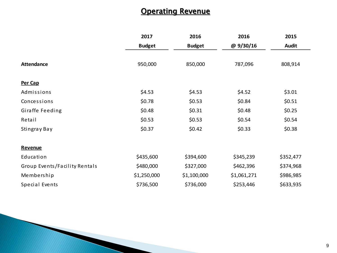# **Operating Revenue**

|                               | 2017          | 2016          | 2016        | 2015         |
|-------------------------------|---------------|---------------|-------------|--------------|
|                               | <b>Budget</b> | <b>Budget</b> | @ 9/30/16   | <b>Audit</b> |
| <b>Attendance</b>             | 950,000       | 850,000       | 787,096     | 808,914      |
| Per Cap                       |               |               |             |              |
| Admissions                    | \$4.53        | \$4.53        | \$4.52      | \$3.01       |
| Concessions                   | \$0.78        | \$0.53        | \$0.84      | \$0.51       |
| Giraffe Feeding               | \$0.48        | \$0.31        | \$0.48      | \$0.25       |
| Retail                        | \$0.53        | \$0.53        | \$0.54      | \$0.54       |
| Stingray Bay                  | \$0.37        | \$0.42        | \$0.33      | \$0.38       |
|                               |               |               |             |              |
| Revenue                       |               |               |             |              |
| Education                     | \$435,600     | \$394,600     | \$345,239   | \$352,477    |
| Group Events/Facility Rentals | \$480,000     | \$327,000     | \$462,396   | \$374,968    |
| Membership                    | \$1,250,000   | \$1,100,000   | \$1,061,271 | \$986,985    |
| Special Events                | \$736,500     | \$736,000     | \$253,446   | \$633,935    |

**The Common Street, Inc.**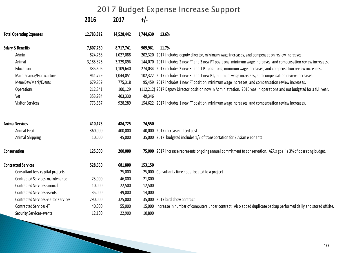# 2017 Budget Expense Increase Support

|                                      | 2016       | 2017       | $+/-$     |                                                                                                                         |
|--------------------------------------|------------|------------|-----------|-------------------------------------------------------------------------------------------------------------------------|
| <b>Total Operating Expenses</b>      | 12,783,812 | 14,528,442 | 1,744,630 | 13.6%                                                                                                                   |
| Salary & Benefits                    | 7,807,780  | 8,717,741  | 909,961   | 11.7%                                                                                                                   |
| Admin                                | 824,768    | 1,027,088  |           | 202,320 2017 includes deputy director, minimum wage increases, and compensation review increases.                       |
| Animal                               | 3,185,826  | 3,329,896  |           | 144,070 2017 includes 2 new FT and 3 new PT positions, minimum wage increases, and compensation review increases.       |
| Education                            | 835,606    | 1,109,640  |           | 274,034 2017 includes 2 new FT and 1 PT positions, minimum wage increases, and compensation review increases.           |
| Maintenance/Horticulture             | 941,729    | 1,044,051  |           | 102,322 2017 includes 1 new FT and 1 new PT, minimum wage increases, and compensation review increases.                 |
| Mem/Dev/Mark/Events                  | 679,859    | 775,318    |           | 95,459 2017 includes 1 new FT position, minimum wage increases, and compensation review increases.                      |
| Operations                           | 212,341    | 100,129    |           | (112,212) 2017 Deputy Director position now in Administration. 2016 was in operations and not budgeted for a full year. |
| Vet                                  | 353,984    | 403,330    | 49,346    |                                                                                                                         |
| Visitor Services                     | 773,667    | 928,289    |           | 154,622 2017 includes 1 new FT position, minimum wage increases, and compensation review increases.                     |
| <b>Animal Services</b>               | 410,175    | 484,725    | 74,550    |                                                                                                                         |
| Animal Feed                          | 360,000    | 400,000    |           | 40,000 2017 increase in feed cost                                                                                       |
| Animal Shipping                      | 10,000     | 45,000     |           | 35,000 2017 budgeted includes 1/2 of transportation for 2 Asian elephants                                               |
| Conservation                         | 125,000    | 200,000    |           | 75,000 2017 increase represents ongoing annual commitment to conservation. AZA's goal is 3% of operating budget.        |
| <b>Contracted Services</b>           | 528,650    | 681,800    | 153,150   |                                                                                                                         |
| Consultant fees capital projects     |            | 25,000     |           | 25,000 Consultants time not allocated to a project                                                                      |
| Contracted Services-maintenance      | 25,000     | 46,800     | 21,800    |                                                                                                                         |
| Contracted Services-animal           | 10,000     | 22,500     | 12,500    |                                                                                                                         |
| <b>Contracted Services-events</b>    | 35,000     | 49,000     | 14,000    |                                                                                                                         |
| Contracted Services-visitor services | 290,000    | 325,000    |           | 35,000 2017 bird show contract                                                                                          |
| Contracted Services-IT               | 40,000     | 55,000     |           | 15,000 Increase in number of computers under contract. Also added duplicate backup performed daily and stored offsite.  |
| Security Services-events             | 12,100     | 22,900     | 10,800    |                                                                                                                         |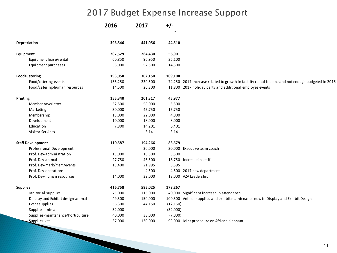# 2017 Budget Expense Increase Support

|                 |                                   | 2016    | 2017    | $+/-$     |                                                                                                  |
|-----------------|-----------------------------------|---------|---------|-----------|--------------------------------------------------------------------------------------------------|
|                 | Depreciation                      | 396,546 | 441,056 | 44,510    |                                                                                                  |
| Equipment       |                                   | 207,529 | 264,430 | 56,901    |                                                                                                  |
|                 | Equipment lease/rental            | 60,850  | 96,950  | 36,100    |                                                                                                  |
|                 | Equipment purchases               | 38,000  | 52,500  | 14,500    |                                                                                                  |
|                 | Food/Catering                     | 193,050 | 302,150 | 109,100   |                                                                                                  |
|                 | Food/catering-events              | 156,250 | 230,500 |           | 74,250 2017 increase related to growth in facility rental income and not enough budgeted in 2016 |
|                 | Food/catering-human resources     | 14,500  | 26,300  |           | 11,800 2017 holiday party and additional employee events                                         |
| Printing        |                                   | 155,340 | 201,317 | 45,977    |                                                                                                  |
|                 | Member newsletter                 | 52,500  | 58,000  | 5,500     |                                                                                                  |
|                 | Marketing                         | 30,000  | 45,750  | 15,750    |                                                                                                  |
|                 | Membership                        | 18,000  | 22,000  | 4,000     |                                                                                                  |
|                 | Development                       | 10,000  | 18,000  | 8,000     |                                                                                                  |
|                 | Education                         | 7,800   | 14,201  | 6,401     |                                                                                                  |
|                 | Visitor Services                  |         | 3,141   | 3,141     |                                                                                                  |
|                 | <b>Staff Development</b>          | 110,587 | 194,266 | 83,679    |                                                                                                  |
|                 | Professional Development          |         | 30,000  |           | 30,000 Executive team coach                                                                      |
|                 | Prof. Dev-administration          | 13,000  | 18,500  | 5,500     |                                                                                                  |
|                 | Prof. Dev-animal                  | 27,750  | 46,500  |           | 18,750 Increase in staff                                                                         |
|                 | Prof. Dev-mark/mem/events         | 13,400  | 21,995  | 8,595     |                                                                                                  |
|                 | Prof. Dev-operations              |         | 4,500   |           | 4,500 2017 new department                                                                        |
|                 | Prof. Dev-human resources         | 14,000  | 32,000  |           | 18,000 AZA Leadership                                                                            |
| <b>Supplies</b> |                                   | 416,758 | 595,025 | 178,267   |                                                                                                  |
|                 | Janitorial supplies               | 75,000  | 115,000 |           | 40,000 Significant increase in attendance.                                                       |
|                 | Display and Exhibit design-animal | 49,500  | 150,000 |           | 100,500 Animal supplies and exhibit maintenance now in Display and Exhibit Design                |
|                 | Event supplies                    | 56,300  | 44,150  | (12, 150) |                                                                                                  |
|                 | Supplies-animal                   | 32,000  |         | (32,000)  |                                                                                                  |
|                 | Supplies-maintenance/horticulture | 40,000  | 33,000  | (7,000)   |                                                                                                  |
|                 | Supplies-vet                      | 37,000  | 130,000 |           | 93,000 Joint procedure on African elephant                                                       |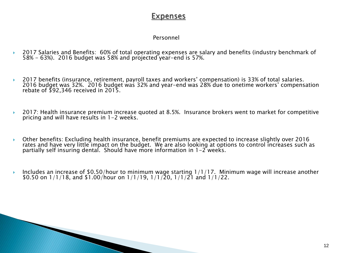### **Expenses**

#### Personnel

- 2017 Salaries and Benefits: 60% of total operating expenses are salary and benefits (industry benchmark of 58% - 63%). 2016 budget was 58% and projected year-end is 57%.
- ▶ 2017 benefits (insurance, retirement, payroll taxes and workers' compensation) is 33% of total salaries. 2016 budget was 32%. 2016 budget was 32% and year-end was 28% due to onetime workers' compensation rebate of \$92,346 received in 2015.
- 2017: Health insurance premium increase quoted at 8.5%. Insurance brokers went to market for competitive pricing and will have results in 1-2 weeks.
- Other benefits: Excluding health insurance, benefit premiums are expected to increase slightly over 2016 rates and have very little impact on the budget. We are also looking at options to control increases such as partially self insuring dental. Should have more information in 1-2 weeks.
- Includes an increase of \$0.50/hour to minimum wage starting  $1/1/17$ . Minimum wage will increase another \$0.50 on  $1/1/18$ , and \$1.00/hour on  $1/1/19$ ,  $1/1/20$ ,  $1/1/21$  and  $1/1/22$ .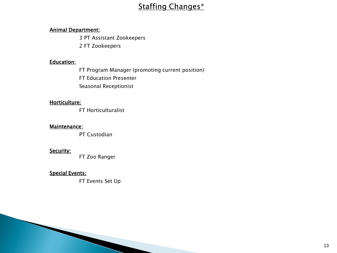# **Staffing Changes\***

#### Animal Department:

3 PT Assistant Zookeepers

2 FT Zookeepers

#### Education:

FT Program Manager (promoting current position)

FT Education Presenter

Seasonal Receptionist

#### Horticulture:

FT Horticulturalist

#### Maintenance:

PT Custodian

#### Security:

**MARCHER** 

FT Zoo Ranger

#### Special Events:

FT Events Set Up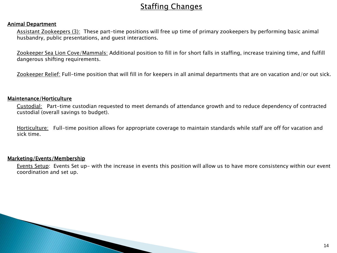# **Staffing Changes**

#### Animal Department

Assistant Zookeepers (3): These part-time positions will free up time of primary zookeepers by performing basic animal husbandry, public presentations, and guest interactions.

Zookeeper Sea Lion Cove/Mammals: Additional position to fill in for short falls in staffing, increase training time, and fulfill dangerous shifting requirements.

Zookeeper Relief: Full-time position that will fill in for keepers in all animal departments that are on vacation and/or out sick.

#### Maintenance/Horticulture

Custodial: Part-time custodian requested to meet demands of attendance growth and to reduce dependency of contracted custodial (overall savings to budget).

Horticulture: Full-time position allows for appropriate coverage to maintain standards while staff are off for vacation and sick time.

#### Marketing/Events/Membership

and the contract of the contract of

Events Setup: Events Set up- with the increase in events this position will allow us to have more consistency within our event coordination and set up.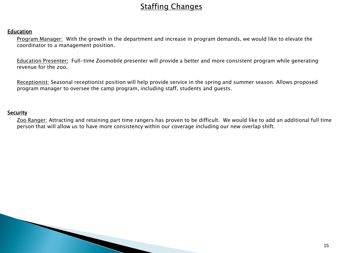# **Staffing Changes**

#### Education

Program Manager: With the growth in the department and increase in program demands, we would like to elevate the coordinator to a management position.

Education Presenter: Full-time Zoomobile presenter will provide a better and more consistent program while generating revenue for the zoo.

Receptionist: Seasonal receptionist position will help provide service in the spring and summer season. Allows proposed program manager to oversee the camp program, including staff, students and guests.

#### **Security**

Zoo Ranger: Attracting and retaining part time rangers has proven to be difficult. We would like to add an additional full time person that will allow us to have more consistency within our coverage including our new overlap shift.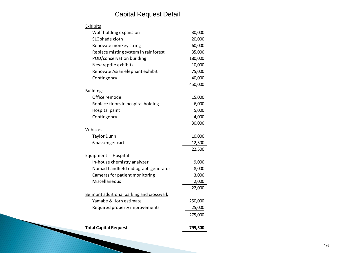### Capital Request Detail

| Exhibits                                 |         |
|------------------------------------------|---------|
| Wolf holding expansion                   | 30,000  |
| SLC shade cloth                          | 20,000  |
| Renovate monkey string                   | 60,000  |
| Replace misting system in rainforest     | 35,000  |
| POD/conservation building                | 180,000 |
| New reptile exhibits                     | 10,000  |
| Renovate Asian elephant exhibit          | 75,000  |
| Contingency                              | 40,000  |
|                                          | 450,000 |
| <b>Buildings</b>                         |         |
| Office remodel                           | 15,000  |
| Replace floors in hospital holding       | 6,000   |
| Hospital paint                           | 5,000   |
| Contingency                              | 4,000   |
|                                          | 30,000  |
| Vehicles                                 |         |
| <b>Taylor Dunn</b>                       | 10,000  |
| 6 passenger cart                         | 12,500  |
|                                          | 22,500  |
| Equipment - Hospital                     |         |
| In-house chemistry analyzer              | 9,000   |
| Nomad handheld radiograph generator      | 8,000   |
| Cameras for patient monitoring           | 3,000   |
| Miscellaneous                            | 2,000   |
|                                          | 22,000  |
| Belmont additional parking and crosswalk |         |
| Yamabe & Horn estimate                   | 250,000 |
| Required property improvements           | 25,000  |
|                                          | 275,000 |
| <b>Total Capital Request</b>             | 799,500 |

**The Company of the Company**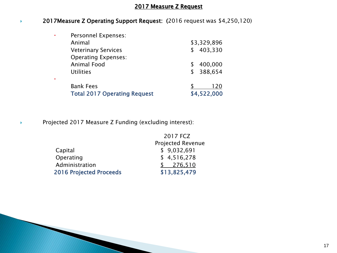#### 2017 Measure Z Request

#### 2017Measure Z Operating Support Request: (2016 request was \$4,250,120)

| Personnel Expenses:<br>٠            |               |
|-------------------------------------|---------------|
| Animal                              | \$3,329,896   |
| <b>Veterinary Services</b>          | 403,330<br>\$ |
| <b>Operating Expenses:</b>          |               |
| <b>Animal Food</b>                  | 400,000       |
| <b>Utilities</b>                    | 388,654<br>\$ |
| ٠                                   |               |
| <b>Bank Fees</b>                    | 120           |
| <b>Total 2017 Operating Request</b> | \$4,522,000   |

Projected 2017 Measure Z Funding (excluding interest):

**Contractor** 

|                                | 2017 FCZ                 |
|--------------------------------|--------------------------|
|                                | <b>Projected Revenue</b> |
| Capital                        | \$9,032,691              |
| Operating                      | \$4,516,278              |
| Administration                 | 276,510                  |
| <b>2016 Projected Proceeds</b> | \$13,825,479             |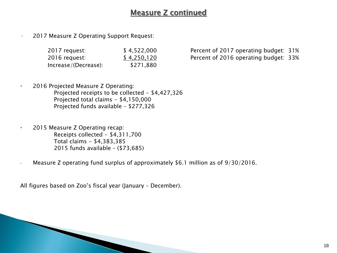# Measure Z continued

• 2017 Measure Z Operating Support Request:

| 2017 request:        | \$4,522,000 |
|----------------------|-------------|
| 2016 request:        | \$4,250,120 |
| Increase/(Decrease): | \$271,880   |

Percent of 2017 operating budget: 31% Percent of 2016 operating budget: 33%

- 2016 Projected Measure Z Operating: Projected receipts to be collected - \$4,427,326 Projected total claims - \$4,150,000 Projected funds available – \$277,326
- 2015 Measure Z Operating recap: Receipts collected - \$4,311,700 Total claims - \$4,383,385 2015 funds available – (\$73,685)
- Measure Z operating fund surplus of approximately \$6.1 million as of 9/30/2016.

All figures based on Zoo's fiscal year (January – December).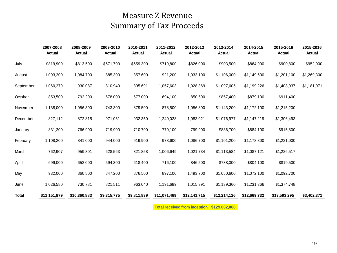# Measure Z Revenue Summary of Tax Proceeds

|              | 2007-2008<br>Actual | 2008-2009<br>Actual | 2009-2010<br>Actual | 2010-2011<br>Actual | 2011-2012<br>Actual | 2012-2013<br>Actual                                                                                                                                                                                                                                                                                             | 2013-2014<br>Actual | 2014-2015<br>Actual | 2015-2016<br>Actual | 2015-2016<br>Actual |
|--------------|---------------------|---------------------|---------------------|---------------------|---------------------|-----------------------------------------------------------------------------------------------------------------------------------------------------------------------------------------------------------------------------------------------------------------------------------------------------------------|---------------------|---------------------|---------------------|---------------------|
| July         | \$819,900           | \$813,500           | \$671,700           | \$659,300           | \$719,800           | \$826,000                                                                                                                                                                                                                                                                                                       | \$903,500           | \$864,900           | \$900,800           | \$952,000           |
| August       | 1,093,200           | 1,084,700           | 885,300             | 857,600             | 921,200             | 1,033,100                                                                                                                                                                                                                                                                                                       | \$1,106,000         | \$1,149,600         | \$1,201,100         | \$1,269,300         |
| September    | 1,060,279           | 930,087             | 810,940             | 895,691             | 1,057,603           | 1,028,369                                                                                                                                                                                                                                                                                                       | \$1,097,605         | \$1,199,226         | \$1,408,037         | \$1,181,071         |
| October      | 853,500             | 792,200             | 678,000             | 677,000             | 694,100             | 850,500                                                                                                                                                                                                                                                                                                         | \$857,400           | \$879,100           | \$911,400           |                     |
| November     | 1,138,000           | 1,056,300           | 743,300             | 879,500             | 878,500             | 1,056,800                                                                                                                                                                                                                                                                                                       | \$1,143,200         | \$1,172,100         | \$1,215,200         |                     |
| December     | 827,112             | 872,815             | 971,061             | 932,350             | 1,240,028           | 1,083,021                                                                                                                                                                                                                                                                                                       | \$1,076,977         | \$1,147,219         | \$1,306,493         |                     |
| January      | 831,200             | 766,900             | 719,900             | 710,700             | 770,100             | 799,900                                                                                                                                                                                                                                                                                                         | \$836,700           | \$884,100           | \$915,800           |                     |
| February     | 1,108,200           | 841,000             | 944,000             | 919,900             | 978,600             | 1,086,700                                                                                                                                                                                                                                                                                                       | \$1,101,200         | \$1,178,800         | \$1,221,000         |                     |
| March        | 762,907             | 959,801             | 628,563             | 821,858             | 1,006,649           | 1,021,734                                                                                                                                                                                                                                                                                                       | \$1,113,584         | \$1,087,121         | \$1,226,517         |                     |
| April        | 699,000             | 652,000             | 594,300             | 618,400             | 716,100             | 846,500                                                                                                                                                                                                                                                                                                         | \$788,000           | \$804,100           | \$819,500           |                     |
| May          | 932,000             | 860,800             | 847,200             | 876,500             | 897,100             | 1,493,700                                                                                                                                                                                                                                                                                                       | \$1,050,600         | \$1,072,100         | \$1,092,700         |                     |
| June         | 1,026,580           | 730,781             | 821,511             | 963,040             | 1,191,689           | 1,015,391                                                                                                                                                                                                                                                                                                       | \$1,139,360         | \$1,231,366         | \$1,374,748         |                     |
| <b>Total</b> | \$11,151,879        | \$10,360,883        | \$9,315,775         | \$9,811,839         | \$11,071,469        | \$12,141,715                                                                                                                                                                                                                                                                                                    | \$12,214,126        | \$12,669,732        | \$13,593,295        | \$3,402,371         |
|              |                     |                     |                     |                     |                     | $\pm$ $\sqrt{1}$ $\pm$ $\sqrt{1}$ $\sqrt{1}$ $\pm$ $\sqrt{1}$ $\sqrt{1}$ $\sqrt{1}$ $\sqrt{1}$ $\sqrt{1}$ $\sqrt{1}$ $\sqrt{1}$ $\sqrt{1}$ $\sqrt{1}$ $\sqrt{1}$ $\sqrt{1}$ $\sqrt{1}$ $\sqrt{1}$ $\sqrt{1}$ $\sqrt{1}$ $\sqrt{1}$ $\sqrt{1}$ $\sqrt{1}$ $\sqrt{1}$ $\sqrt{1}$ $\sqrt{1}$ $\sqrt{1}$ $\sqrt{1}$ |                     |                     |                     |                     |

 **Total received from inception \$129,062,060**